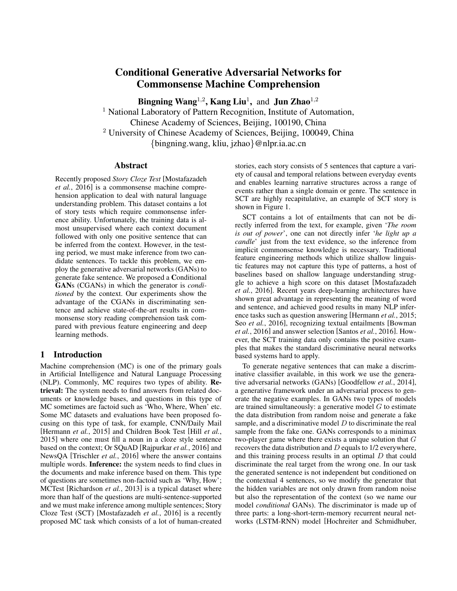# Conditional Generative Adversarial Networks for Commonsense Machine Comprehension

Bingning Wang<sup>1,2</sup>, Kang Liu<sup>1</sup>, and Jun Zhao<sup>1,2</sup>

<sup>1</sup> National Laboratory of Pattern Recognition, Institute of Automation, Chinese Academy of Sciences, Beijing, 100190, China <sup>2</sup> University of Chinese Academy of Sciences, Beijing, 100049, China {bingning.wang, kliu, jzhao}@nlpr.ia.ac.cn

#### Abstract

Recently proposed *Story Cloze Test* [Mostafazadeh *et al.*, 2016] is a commonsense machine comprehension application to deal with natural language understanding problem. This dataset contains a lot of story tests which require commonsense inference ability. Unfortunately, the training data is almost unsupervised where each context document followed with only one positive sentence that can be inferred from the context. However, in the testing period, we must make inference from two candidate sentences. To tackle this problem, we employ the generative adversarial networks (GANs) to generate fake sentence. We proposed a Conditional GANs (CGANs) in which the generator is *conditioned* by the context. Our experiments show the advantage of the CGANs in discriminating sentence and achieve state-of-the-art results in commonsense story reading comprehension task compared with previous feature engineering and deep learning methods.

# 1 Introduction

Machine comprehension (MC) is one of the primary goals in Artificial Intelligence and Natural Language Processing (NLP). Commonly, MC requires two types of ability. Retrieval: The system needs to find answers from related documents or knowledge bases, and questions in this type of MC sometimes are factoid such as 'Who, Where, When' etc. Some MC datasets and evaluations have been proposed focusing on this type of task, for example, CNN/Daily Mail [Hermann *et al.*, 2015] and Children Book Test [Hill *et al.*, 2015] where one must fill a noun in a cloze style sentence based on the context; Or SQuAD [Rajpurkar *et al.*, 2016] and NewsQA [Trischler *et al.*, 2016] where the answer contains multiple words. Inference: the system needs to find clues in the documents and make inference based on them. This type of questions are sometimes non-factoid such as 'Why, How'; MCTest [Richardson *et al.*, 2013] is a typical dataset where more than half of the questions are multi-sentence-supported and we must make inference among multiple sentences; Story Cloze Test (SCT) [Mostafazadeh *et al.*, 2016] is a recently proposed MC task which consists of a lot of human-created

stories, each story consists of 5 sentences that capture a variety of causal and temporal relations between everyday events and enables learning narrative structures across a range of events rather than a single domain or genre. The sentence in SCT are highly recapitulative, an example of SCT story is shown in Figure 1.

SCT contains a lot of entailments that can not be directly inferred from the text, for example, given '*The room is out of power*', one can not directly infer '*he light up a candle*' just from the text evidence, so the inference from implicit commonsense knowledge is necessary. Traditional feature engineering methods which utilize shallow linguistic features may not capture this type of patterns, a host of baselines based on shallow language understanding struggle to achieve a high score on this dataset [Mostafazadeh *et al.*, 2016]. Recent years deep-learning architectures have shown great advantage in representing the meaning of word and sentence, and achieved good results in many NLP inference tasks such as question answering [Hermann *et al.*, 2015; Seo *et al.*, 2016], recognizing textual entailments [Bowman *et al.*, 2016] and answer selection [Santos *et al.*, 2016]. However, the SCT training data only contains the positive examples that makes the standard discriminative neural networks based systems hard to apply.

To generate negative sentences that can make a discriminative classifier available, in this work we use the generative adversarial networks (GANs) [Goodfellow *et al.*, 2014], a generative framework under an adversarial process to generate the negative examples. In GANs two types of models are trained simultaneously: a generative model  $G$  to estimate the data distribution from random noise and generate a fake sample, and a discriminative model  $D$  to discriminate the real sample from the fake one. GANs corresponds to a minimax two-player game where there exists a unique solution that G recovers the data distribution and D equals to 1/2 everywhere, and this training process results in an optimal D that could discriminate the real target from the wrong one. In our task the generated sentence is not independent but conditioned on the contextual 4 sentences, so we modify the generator that the hidden variables are not only drawn from random noise but also the representation of the context (so we name our model *conditional* GANs). The discriminator is made up of three parts: a long-short-term-memory recurrent neural networks (LSTM-RNN) model [Hochreiter and Schmidhuber,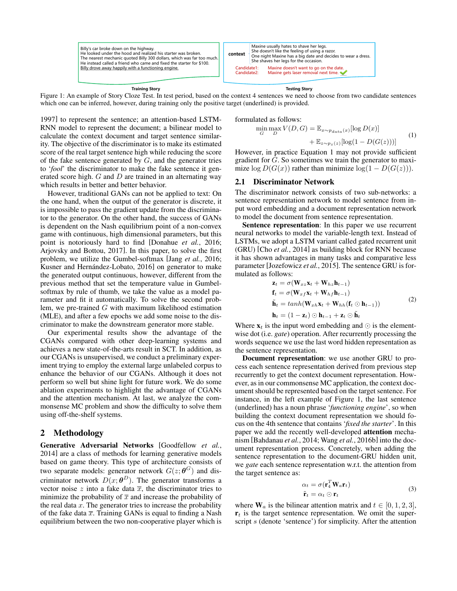

**Training Story**

**Testing Story**

Figure 1: An example of Story Cloze Test. In test period, based on the context 4 sentences we need to choose from two candidate sentences which one can be inferred, however, during training only the positive target (underlined) is provided.

1997] to represent the sentence; an attention-based LSTM-RNN model to represent the document; a bilinear model to calculate the context document and target sentence similarity. The objective of the discriminator is to make its estimated score of the real target sentence high while reducing the score of the fake sentence generated by  $G$ , and the generator tries to '*fool*' the discriminator to make the fake sentence it generated score high.  $G$  and  $D$  are trained in an alternating way which results in better and better behavior.

However, traditional GANs can not be applied to text: On the one hand, when the output of the generator is discrete, it is impossible to pass the gradient update from the discriminator to the generator. On the other hand, the success of GANs is dependent on the Nash equilibrium point of a non-convex game with continuous, high dimensional parameters, but this point is notoriously hard to find [Donahue *et al.*, 2016; Arjovsky and Bottou, 2017]. In this paper, to solve the first problem, we utilize the Gumbel-softmax [Jang *et al.*, 2016; Kusner and Hernández-Lobato, 2016] on generator to make the generated output continuous, however, different from the previous method that set the temperature value in Gumbelsoftmax by rule of thumb, we take the value as a model parameter and fit it automatically. To solve the second problem, we pre-trained  $G$  with maximum likelihood estimation (MLE), and after a few epochs we add some noise to the discriminator to make the downstream generator more stable.

Our experimental results show the advantage of the CGANs compared with other deep-learning systems and achieves a new state-of-the-arts result in SCT. In addition, as our CGANs is unsupervised, we conduct a preliminary experiment trying to employ the external large unlabeled corpus to enhance the behavior of our CGANs. Although it does not perform so well but shine light for future work. We do some ablation experiments to highlight the advantage of CGANs and the attention mechanism. At last, we analyze the commonsense MC problem and show the difficulty to solve them using off-the-shelf systems.

# 2 Methodology

Generative Adversarial Networks [Goodfellow *et al.*, 2014] are a class of methods for learning generative models based on game theory. This type of architecture consists of two separate models: generator network  $G(z; \boldsymbol{\theta}^{G})$  and discriminator network  $D(x; \theta^D)$ . The generator transforms a vector noise z into a fake data  $\overline{x}$ , the discriminator tries to minimize the probability of  $\bar{x}$  and increase the probability of the real data  $x$ . The generator tries to increase the probability of the fake data  $\overline{x}$ . Training GANs is equal to finding a Nash equilibrium between the two non-cooperative player which is formulated as follows:

$$
\min_{G} \max_{D} V(D, G) = \mathbb{E}_{x \sim p_{data}(x)} [\log D(x)] + \mathbb{E}_{z \sim p_z(z)} [\log(1 - D(G(z)))] \tag{1}
$$

However, in practice Equation 1 may not provide sufficient gradient for G. So sometimes we train the generator to maximize  $\log D(G(x))$  rather than minimize  $\log(1 - D(G(z)))$ .

#### 2.1 Discriminator Network

The discriminator network consists of two sub-networks: a sentence representation network to model sentence from input word embedding and a document representation network to model the document from sentence representation.

Sentence representation: In this paper we use recurrent neural networks to model the variable-length text. Instead of LSTMs, we adopt a LSTM variant called gated recurrent unit (GRU) [Cho *et al.*, 2014] as building block for RNN because it has shown advantages in many tasks and comparative less parameter [Jozefowicz *et al.*, 2015]. The sentence GRU is formulated as follows:

$$
\mathbf{z}_t = \sigma(\mathbf{W}_{xz}\mathbf{x}_t + \mathbf{W}_{hz}\mathbf{h}_{t-1})
$$
  
\n
$$
\mathbf{f}_t = \sigma(\mathbf{W}_{xf}\mathbf{x}_t + \mathbf{W}_{hf}\mathbf{h}_{t-1})
$$
  
\n
$$
\tilde{\mathbf{h}}_t = tanh(\mathbf{W}_{xh}\mathbf{x}_t + \mathbf{W}_{hh}(\mathbf{f}_t \odot \mathbf{h}_{t-1}))
$$
  
\n
$$
\mathbf{h}_t = (1 - \mathbf{z}_t) \odot \mathbf{h}_{t-1} + \mathbf{z}_t \odot \tilde{\mathbf{h}}_t
$$
\n(2)

Where  $\mathbf{x}_t$  is the input word embedding and  $\odot$  is the elementwise dot (i.e. *gate*) operation. After recurrently processing the words sequence we use the last word hidden representation as the sentence representation.

Document representation: we use another GRU to process each sentence representation derived from previous step recurrently to get the context document representation. However, as in our commonsense MC application, the context document should be represented based on the target sentence. For instance, in the left example of Figure 1, the last sentence (underlined) has a noun phrase '*functioning engine*', so when building the context document representation we should focus on the 4th sentence that contains '*fixed the starter*'. In this paper we add the recently well-developed attention mechanism [Bahdanau *et al.*, 2014; Wang *et al.*, 2016b] into the document representation process. Concretely, when adding the sentence representation to the document-GRU hidden unit, we *gate* each sentence representation w.r.t. the attention from the target sentence as:

$$
\alpha_t = \sigma(\mathbf{r}_4^T \mathbf{W}_a \mathbf{r}_t)
$$
  

$$
\tilde{\mathbf{r}}_t = \alpha_t \odot \mathbf{r}_t
$$
 (3)

where  $W_a$  is the bilinear attention matrix and  $t \in [0, 1, 2, 3]$ ,  $r_t$  is the target sentence representation. We omit the superscript s (denote 'sentence') for simplicity. After the attention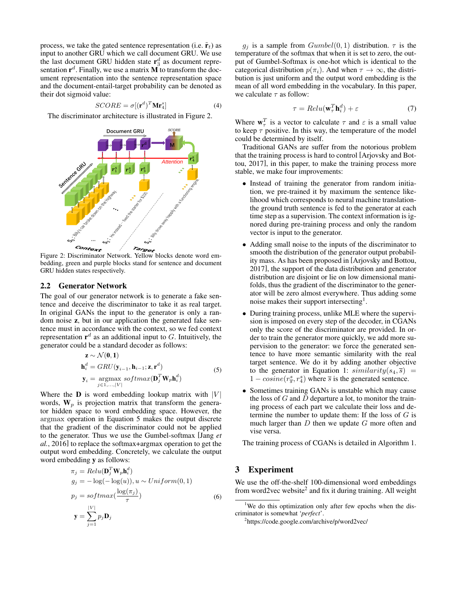process, we take the gated sentence representation (i.e.  $\tilde{\mathbf{r}}_t$ ) as input to another GRU which we call document GRU. We use the last document GRU hidden state  $\mathbf{r}_3^d$  as document representation  $\mathbf{r}^d$ . Finally, we use a matrix **M** to transform the document representation into the sentence representation space and the document-entail-target probability can be denoted as their dot sigmoid value:

$$
SCORE = \sigma [(\mathbf{r}^d)^T \mathbf{Mr}_4^s]
$$
 (4)

The discriminator architecture is illustrated in Figure 2.



Figure 2: Discriminator Network. Yellow blocks denote word embedding, green and purple blocks stand for sentence and document GRU hidden states respectively.

#### 2.2 Generator Network

The goal of our generator network is to generate a fake sentence and deceive the discriminator to take it as real target. In original GANs the input to the generator is only a random noise z, but in our application the generated fake sentence must in accordance with the context, so we fed context representation  $r^d$  as an additional input to G. Intuitively, the generator could be a standard decoder as follows:

$$
\mathbf{z} \sim \mathcal{N}(\mathbf{0}, \mathbf{1})
$$
  
\n
$$
\mathbf{h}_{i}^{d} = GRU(\mathbf{y}_{i-1}, \mathbf{h}_{i-1}; \mathbf{z}, \mathbf{r}^{d})
$$
  
\n
$$
\mathbf{y}_{i} = \underset{j \in 1, ..., |V|}{\operatorname{argmax}} \text{softmax}(\mathbf{D}_{j}^{T} \mathbf{W}_{p} \mathbf{h}_{i}^{d})
$$
\n(5)

Where the  **is word embedding lookup matrix with**  $|V|$ words,  $W_p$  is projection matrix that transform the generator hidden space to word embedding space. However, the argmax operation in Equation 5 makes the output discrete that the gradient of the discriminator could not be applied to the generator. Thus we use the Gumbel-softmax [Jang *et al.*, 2016] to replace the softmax+argmax operation to get the output word embedding. Concretely, we calculate the output word embedding y as follows:

$$
\pi_j = Relu(\mathbf{D}_j^T \mathbf{W}_p \mathbf{h}_i^d)
$$
  
\n
$$
g_j = -\log(-\log(u)), u \sim Uniform(0, 1)
$$
  
\n
$$
p_j = softmax(\frac{\log(\pi_j)}{\tau})
$$
  
\n
$$
\mathbf{y} = \sum_{j=1}^{|V|} p_j \mathbf{D}_j
$$
\n(6)

 $g_i$  is a sample from  $Gumbel(0, 1)$  distribution.  $\tau$  is the temperature of the softmax that when it is set to zero, the output of Gumbel-Softmax is one-hot which is identical to the categorical distribution  $p(\pi_i)$ . And when  $\tau \to \infty$ , the distribution is just uniform and the output word embedding is the mean of all word embedding in the vocabulary. In this paper, we calculate  $\tau$  as follow:

$$
\tau = Relu(\mathbf{w}_\tau^T \mathbf{h}_i^d) + \varepsilon \tag{7}
$$

Where  $\mathbf{w}_{\tau}^{T}$  is a vector to calculate  $\tau$  and  $\varepsilon$  is a small value to keep  $\tau$  positive. In this way, the temperature of the model could be determined by itself.

Traditional GANs are suffer from the notorious problem that the training process is hard to control [Arjovsky and Bottou, 2017], in this paper, to make the training process more stable, we make four improvements:

- Instead of training the generator from random initiation, we pre-trained it by maximum the sentence likelihood which corresponds to neural machine translationthe ground truth sentence is fed to the generator at each time step as a supervision. The context information is ignored during pre-training process and only the random vector is input to the generator.
- Adding small noise to the inputs of the discriminator to smooth the distribution of the generator output probability mass. As has been proposed in [Arjovsky and Bottou, 2017], the support of the data distribution and generator distribution are disjoint or lie on low dimensional manifolds, thus the gradient of the discriminator to the generator will be zero almost everywhere. Thus adding some noise makes their support intersecting<sup>1</sup>.
- During training process, unlike MLE where the supervision is imposed on every step of the decoder, in CGANs only the score of the discriminator are provided. In order to train the generator more quickly, we add more supervision to the generator: we force the generated sentence to have more semantic similarity with the real target sentence. We do it by adding another objective to the generator in Equation 1:  $similarity(s_4, \overline{s})$  =  $1 - cosine(r_s^s, r_4^s)$  where  $\overline{s}$  is the generated sentence.
- Sometimes training GANs is unstable which may cause the loss of  $G$  and  $D$  departure a lot, to monitor the training process of each part we calculate their loss and determine the number to update them: If the loss of  $G$  is much larger than  $D$  then we update  $G$  more often and vise versa.

The training process of CGANs is detailed in Algorithm 1.

## 3 Experiment

We use the off-the-shelf 100-dimensional word embeddings from word2vec website<sup>2</sup> and fix it during training. All weight

<sup>&</sup>lt;sup>1</sup>We do this optimization only after few epochs when the discriminator is somewhat '*perfect*'.

<sup>&</sup>lt;sup>2</sup>https://code.google.com/archive/p/word2vec/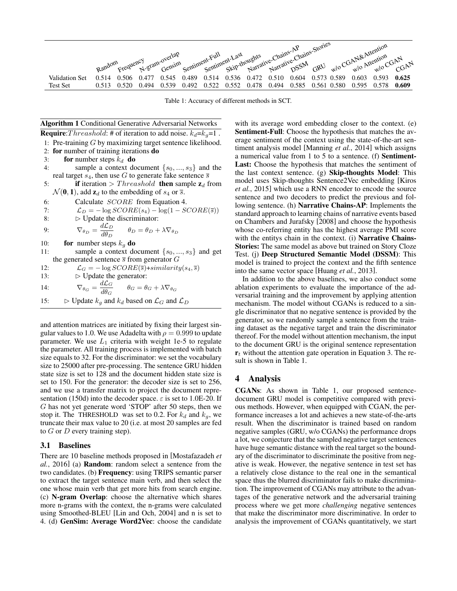|                                   | Random |                |       |                |                |                |                |                      |       |                |       |                      |                |                | m Frequency eram-overlap Sentiment-Full ent-Last pughts expansive-Chains-Stories expressiones are entire and a technical coletary |
|-----------------------------------|--------|----------------|-------|----------------|----------------|----------------|----------------|----------------------|-------|----------------|-------|----------------------|----------------|----------------|-----------------------------------------------------------------------------------------------------------------------------------|
| Validation Set<br><b>Test Set</b> | 0.513  | ገ 506<br>0.520 | 0.494 | 0 545<br>0.539 | 0.489<br>0.492 | 0.514<br>0.522 | 0.536<br>0.552 | 0.472 0.510<br>0.478 | 0.494 | 0.604<br>0.585 | 0.561 | 0.573 0.589<br>0.580 | 0.603<br>በ 595 | 0.593<br>0.578 | - 0.625<br>0.609                                                                                                                  |

Table 1: Accuracy of different methods in SCT.

|                                                                                                          | <b>Algorithm 1 Conditional Generative Adversarial Networks</b>                                                |  |  |  |  |  |  |
|----------------------------------------------------------------------------------------------------------|---------------------------------------------------------------------------------------------------------------|--|--|--|--|--|--|
| <b>Require:</b> Threashold: # of iteration to add noise. $k_d = k_g = 1$ .                               |                                                                                                               |  |  |  |  |  |  |
|                                                                                                          | 1: Pre-training $G$ by maximizing target sentence likelihood.                                                 |  |  |  |  |  |  |
|                                                                                                          | 2: for number of training iterations do                                                                       |  |  |  |  |  |  |
| 3:                                                                                                       | for number steps $k_d$ do                                                                                     |  |  |  |  |  |  |
| 4:                                                                                                       | sample a context document $\{s_0, , s_3\}$ and the                                                            |  |  |  |  |  |  |
|                                                                                                          | real target $s_4$ , then use G to generate fake sentence $\overline{s}$                                       |  |  |  |  |  |  |
| 5:                                                                                                       | <b>if</b> iteration > <i>Threashold</i> <b>then</b> sample $z_d$ from                                         |  |  |  |  |  |  |
| $\mathcal{N}(\mathbf{0}, \mathbf{1})$ , add $\mathbf{z}_d$ to the embedding of $s_4$ or $\overline{s}$ . |                                                                                                               |  |  |  |  |  |  |
| 6:                                                                                                       | Calculate <i>SCORE</i> from Equation 4.                                                                       |  |  |  |  |  |  |
| 7:                                                                                                       | $\mathcal{L}_D = -\log SCORE(s_4) - \log(1 - SCORE(\bar{s}))$                                                 |  |  |  |  |  |  |
| 8:                                                                                                       | $\triangleright$ Update the discriminator:                                                                    |  |  |  |  |  |  |
| 9:                                                                                                       | $\nabla_{\theta_D} = \frac{d\mathcal{L}_D}{d\theta_D} \qquad \theta_D = \theta_D + \lambda \nabla_{\theta_D}$ |  |  |  |  |  |  |
| 10:                                                                                                      | for number steps $k_q$ do                                                                                     |  |  |  |  |  |  |
| 11:                                                                                                      | sample a context document $\{s_0, , s_3\}$ and get                                                            |  |  |  |  |  |  |
| the generated sentence $\overline{s}$ from generator G                                                   |                                                                                                               |  |  |  |  |  |  |
| 12:                                                                                                      | $\mathcal{L}_G = -\log SCORE(\overline{s}) + similarity(s_4, \overline{s})$                                   |  |  |  |  |  |  |
| 13:                                                                                                      | $\triangleright$ Update the generator:                                                                        |  |  |  |  |  |  |
| 14:                                                                                                      | $\nabla_{\theta_G} = \frac{d\mathcal{L}_G}{d\theta_G} \qquad \theta_G = \theta_G + \lambda \nabla_{\theta_G}$ |  |  |  |  |  |  |
| 15:                                                                                                      | $\triangleright$ Update $k_q$ and $k_d$ based on $\mathcal{L}_G$ and $\mathcal{L}_D$                          |  |  |  |  |  |  |

and attention matrices are initiated by fixing their largest singular values to 1.0. We use Adadelta with  $\rho = 0.999$  to update parameter. We use  $L_1$  criteria with weight 1e-5 to regulate the parameter. All training process is implemented with batch size equals to 32. For the discriminator: we set the vocabulary size to 25000 after pre-processing. The sentence GRU hidden state size is set to 128 and the document hidden state size is set to 150. For the generator: the decoder size is set to 256, and we use a transfer matrix to project the document representation (150d) into the decoder space.  $\varepsilon$  is set to 1.0E-20. If G has not yet generate word 'STOP' after 50 steps, then we stop it. The THRESHOLD was set to 0.2. For  $k_d$  and  $k_q$ , we truncate their max value to 20 (i.e. at most 20 samples are fed to  $G$  or  $D$  every training step).

#### 3.1 Baselines

There are 10 baseline methods proposed in [Mostafazadeh *et al.*, 2016] (a) Random: random select a sentence from the two candidates. (b) Frequency: using TRIPS semantic parser to extract the target sentence main verb, and then select the one whose main verb that get more hits from search engine. (c) N-gram Overlap: choose the alternative which shares more n-grams with the context, the n-grams were calculated using Smoothed-BLEU [Lin and Och, 2004] and n is set to 4. (d) GenSim: Average Word2Vec: choose the candidate with its average word embedding closer to the context. (e) Sentiment-Full: Choose the hypothesis that matches the average sentiment of the context using the state-of-the-art sentiment analysis model [Manning *et al.*, 2014] which assigns a numerical value from 1 to 5 to a sentence. (f) Sentiment-Last: Choose the hypothesis that matches the sentiment of the last context sentence. (g) Skip-thoughts Model: This model uses Skip-thoughts Sentence2Vec embedding [Kiros *et al.*, 2015] which use a RNN encoder to encode the source sentence and two decoders to predict the previous and following sentence. (h) Narrative Chains-AP: Implements the standard approach to learning chains of narrative events based on Chambers and Jurafsky [2008] and choose the hypothesis whose co-referring entity has the highest average PMI score with the entitys chain in the context. (i) **Narrative Chains-**Stories: The same model as above but trained on Story Cloze Test. (j) Deep Structured Semantic Model (DSSM): This model is trained to project the context and the fifth sentence into the same vector space [Huang *et al.*, 2013].

In addition to the above baselines, we also conduct some ablation experiments to evaluate the importance of the adversarial training and the improvement by applying attention mechanism. The model without CGANs is reduced to a single discriminator that no negative sentence is provided by the generator, so we randomly sample a sentence from the training dataset as the negative target and train the discriminator thereof. For the model without attention mechanism, the input to the document GRU is the original sentence representation  **without the attention gate operation in Equation 3. The re**sult is shown in Table 1.

## 4 Analysis

CGANs: As shown in Table 1, our proposed sentencedocument GRU model is competitive compared with previous methods. However, when equipped with CGAN, the performance increases a lot and achieves a new state-of-the-arts result. When the discriminator is trained based on random negative samples (GRU, w/o CGANs) the performance drops a lot, we conjecture that the sampled negative target sentences have huge semantic distance with the real target so the boundary of the discriminator to discriminate the positive from negative is weak. However, the negative sentence in test set has a relatively close distance to the real one in the semantical space thus the blurred discriminator fails to make discrimination. The improvement of CGANs may attribute to the advantages of the generative network and the adversarial training process where we get more *challenging* negative sentences that make the discriminator more discriminative. In order to analysis the improvement of CGANs quantitatively, we start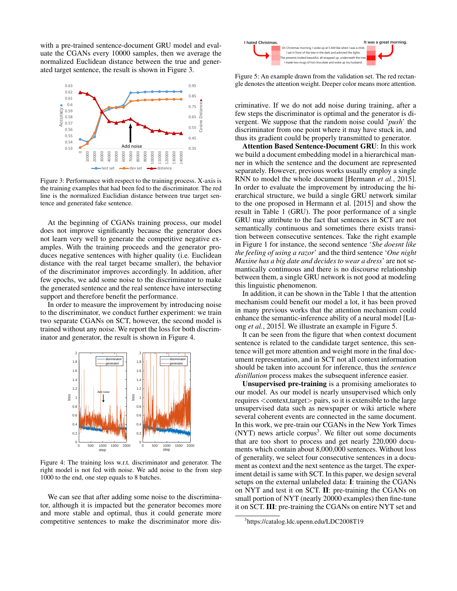with a pre-trained sentence-document GRU model and evaluate the CGANs every 10000 samples, then we average the normalized Euclidean distance between the true and generated target sentence, the result is shown in Figure 3.



Figure 3: Performance with respect to the training process. X-axis is the training examples that had been fed to the discriminator. The red line is the normalized Euclidian distance between true target sentence and generated fake sentence.

At the beginning of CGANs training process, our model does not improve significantly because the generator does not learn very well to generate the competitive negative examples. With the training proceeds and the generator produces negative sentences with higher quality (i.e. Euclidean distance with the real target became smaller), the behavior of the discriminator improves accordingly. In addition, after few epochs, we add some noise to the discriminator to make the generated sentence and the real sentence have intersecting support and therefore benefit the performance.

In order to measure the improvement by introducing noise to the discriminator, we conduct further experiment: we train two separate CGANs on SCT, however, the second model is trained without any noise. We report the loss for both discriminator and generator, the result is shown in Figure 4.



Figure 4: The training loss w.r.t. discriminator and generator. The right model is not fed with noise. We add noise to the from step 1000 to the end, one step equals to 8 batches.

We can see that after adding some noise to the discriminator, although it is impacted but the generator becomes more and more stable and optimal, thus it could generate more competitive sentences to make the discriminator more dis-



Figure 5: An example drawn from the validation set. The red rectangle denotes the attention weight. Deeper color means more attention.

criminative. If we do not add noise during training, after a few steps the discriminator is optimal and the generator is divergent. We suppose that the random noise could '*push*' the discriminator from one point where it may have stuck in, and thus its gradient could be properly transmitted to generator.

Attention Based Sentence-Document GRU: In this work we build a document embedding model in a hierarchical manner in which the sentence and the document are represented separately. However, previous works usually employ a single RNN to model the whole document [Hermann *et al.*, 2015]. In order to evaluate the improvement by introducing the hierarchical structure, we build a single GRU network similar to the one proposed in Hermann et al. [2015] and show the result in Table 1 (GRU). The poor performance of a single GRU may attribute to the fact that sentences in SCT are not semantically continuous and sometimes there exists transition between consecutive sentences. Take the right example in Figure 1 for instance, the second sentence '*She doesnt like the feeling of using a razor*' and the third sentence '*One night Maxine has a big date and decides to wear a dress*' are not semantically continuous and there is no discourse relationship between them, a single GRU network is not good at modeling this linguistic phenomenon.

In addition, it can be shown in the Table 1 that the attention mechanism could benefit our model a lot, it has been proved in many previous works that the attention mechanism could enhance the semantic-inference ability of a neural model [Luong *et al.*, 2015]. We illustrate an example in Figure 5.

It can be seen from the figure that when context document sentence is related to the candidate target sentence, this sentence will get more attention and weight more in the final document representation, and in SCT not all context information should be taken into account for inference, thus the *sentence distillation* process makes the subsequent inference easier.

Unsupervised pre-training is a promising ameliorates to our model. As our model is nearly unsupervised which only requires <context,target> pairs, so it is extensible to the large unsupervised data such as newspaper or wiki article where several coherent events are connected in the same document. In this work, we pre-train our CGANs in the New York Times (NYT) news article corpus<sup>3</sup>. We filter out some documents that are too short to process and get nearly 220,000 documents which contain about 8,000,000 sentences. Without loss of generality, we select four consecutive sentences in a document as context and the next sentence as the target. The experiment detail is same with SCT. In this paper, we design several setups on the external unlabeled data: I: training the CGANs on NYT and test it on SCT. II: pre-training the CGANs on small portion of NYT (nearly 20000 examples) then fine-tune it on SCT. III: pre-training the CGANs on entire NYT set and

<sup>3</sup> https://catalog.ldc.upenn.edu/LDC2008T19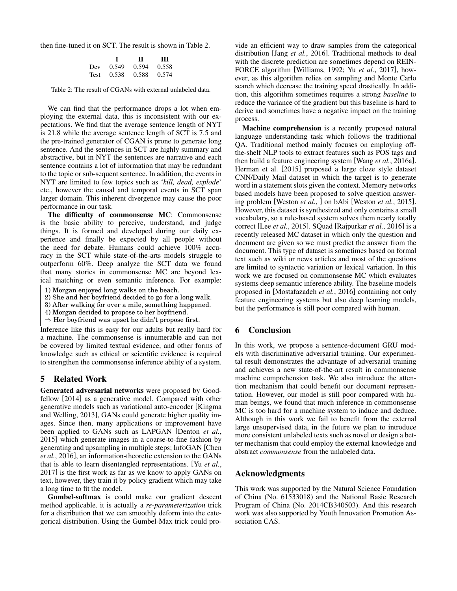then fine-tuned it on SCT. The result is shown in Table 2.

|             |       |       | ш           |
|-------------|-------|-------|-------------|
| Dev         | 0.549 | 0.594 | $\pm 0.558$ |
| <b>Test</b> | 0.538 | 0.588 | 10.574      |

Table 2: The result of CGANs with external unlabeled data.

We can find that the performance drops a lot when employing the external data, this is inconsistent with our expectations. We find that the average sentence length of NYT is 21.8 while the average sentence length of SCT is 7.5 and the pre-trained generator of CGAN is prone to generate long sentence. And the sentences in SCT are highly summary and abstractive, but in NYT the sentences are narrative and each sentence contains a lot of information that may be redundant to the topic or sub-sequent sentence. In addition, the events in NYT are limited to few topics such as '*kill, dead, explode*' etc., however the causal and temporal events in SCT span larger domain. This inherent divergence may cause the poor performance in our task.

The difficulty of commonsense MC: Commonsense is the basic ability to perceive, understand, and judge things. It is formed and developed during our daily experience and finally be expected by all people without the need for debate. Humans could achieve 100% accuracy in the SCT while state-of-the-arts models struggle to outperform 60%. Deep analyze the SCT data we found that many stories in commonsense MC are beyond lexical matching or even semantic inference. For example:

- 1) Morgan enjoyed long walks on the beach.
- 2) She and her boyfriend decided to go for a long walk.
- 3) After walking for over a mile, something happened.
- 4) Morgan decided to propose to her boyfriend.
- $\Rightarrow$  Her boyfriend was upset he didn't propose first.

Inference like this is easy for our adults but really hard for a machine. The commonsense is innumerable and can not be covered by limited textual evidence, and other forms of knowledge such as ethical or scientific evidence is required to strengthen the commonsense inference ability of a system.

## 5 Related Work

Generated adversarial networks were proposed by Goodfellow [2014] as a generative model. Compared with other generative models such as variational auto-encoder [Kingma and Welling, 2013], GANs could generate higher quality images. Since then, many applications or improvement have been applied to GANs such as LAPGAN [Denton *et al.*, 2015] which generate images in a coarse-to-fine fashion by generating and upsampling in multiple steps; InfoGAN [Chen *et al.*, 2016], an information-theoretic extension to the GANs that is able to learn disentangled representations. [Yu *et al.*, 2017] is the first work as far as we know to apply GANs on text, however, they train it by policy gradient which may take a long time to fit the model.

Gumbel-softmax is could make our gradient descent method applicable. it is actually a *re-parameterization* trick for a distribution that we can smoothly deform into the categorical distribution. Using the Gumbel-Max trick could provide an efficient way to draw samples from the categorical distribution [Jang *et al.*, 2016]. Traditional methods to deal with the discrete prediction are sometimes depend on REIN-FORCE algorithm [Williams, 1992; Yu *et al.*, 2017], however, as this algorithm relies on sampling and Monte Carlo search which decrease the training speed drastically. In addition, this algorithm sometimes requires a strong *baseline* to reduce the variance of the gradient but this baseline is hard to derive and sometimes have a negative impact on the training process.

Machine comprehension is a recently proposed natural language understanding task which follows the traditional QA. Traditional method mainly focuses on employing offthe-shelf NLP tools to extract features such as POS tags and then build a feature engineering system [Wang *et al.*, 2016a]. Herman et al. [2015] proposed a large cloze style dataset CNN/Daily Mail dataset in which the target is to generate word in a statement slots given the context. Memory networks based models have been proposed to solve question answering problem [Weston *et al.*, ] on bAbi [Weston *et al.*, 2015]. However, this dataset is synthesized and only contains a small vocabulary, so a rule-based system solves them nearly totally correct [Lee *et al.*, 2015]. SQuad [Rajpurkar *et al.*, 2016] is a recently released MC dataset in which only the question and document are given so we must predict the answer from the document. This type of dataset is sometimes based on formal text such as wiki or news articles and most of the questions are limited to syntactic variation or lexical variation. In this work we are focused on commonsense MC which evaluates systems deep semantic inference ability. The baseline models proposed in [Mostafazadeh *et al.*, 2016] containing not only feature engineering systems but also deep learning models, but the performance is still poor compared with human.

# 6 Conclusion

In this work, we propose a sentence-document GRU models with discriminative adversarial training. Our experimental result demonstrates the advantage of adversarial training and achieves a new state-of-the-art result in commonsense machine comprehension task. We also introduce the attention mechanism that could benefit our document representation. However, our model is still poor compared with human beings, we found that much inference in commonsense MC is too hard for a machine system to induce and deduce. Although in this work we fail to benefit from the external large unsupervised data, in the future we plan to introduce more consistent unlabeled texts such as novel or design a better mechanism that could employ the external knowledge and abstract *commonsense* from the unlabeled data.

# Acknowledgments

This work was supported by the Natural Science Foundation of China (No. 61533018) and the National Basic Research Program of China (No. 2014CB340503). And this research work was also supported by Youth Innovation Promotion Association CAS.